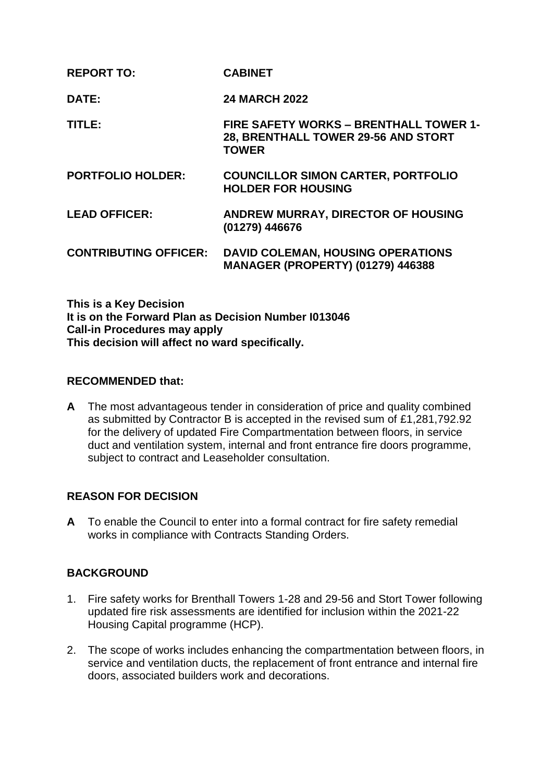| <b>REPORT TO:</b>            | <b>CABINET</b>                                                                                       |
|------------------------------|------------------------------------------------------------------------------------------------------|
| DATE:                        | <b>24 MARCH 2022</b>                                                                                 |
| TITLE:                       | <b>FIRE SAFETY WORKS - BRENTHALL TOWER 1-</b><br>28, BRENTHALL TOWER 29-56 AND STORT<br><b>TOWER</b> |
| <b>PORTFOLIO HOLDER:</b>     | <b>COUNCILLOR SIMON CARTER, PORTFOLIO</b><br><b>HOLDER FOR HOUSING</b>                               |
| <b>LEAD OFFICER:</b>         | ANDREW MURRAY, DIRECTOR OF HOUSING<br>(01279) 446676                                                 |
| <b>CONTRIBUTING OFFICER:</b> | <b>DAVID COLEMAN, HOUSING OPERATIONS</b><br><b>MANAGER (PROPERTY) (01279) 446388</b>                 |

**This is a Key Decision It is on the Forward Plan as Decision Number I013046 Call-in Procedures may apply This decision will affect no ward specifically.**

### **RECOMMENDED that:**

**A** The most advantageous tender in consideration of price and quality combined as submitted by Contractor B is accepted in the revised sum of £1,281,792.92 for the delivery of updated Fire Compartmentation between floors, in service duct and ventilation system, internal and front entrance fire doors programme, subject to contract and Leaseholder consultation.

# **REASON FOR DECISION**

**A** To enable the Council to enter into a formal contract for fire safety remedial works in compliance with Contracts Standing Orders.

# **BACKGROUND**

- 1. Fire safety works for Brenthall Towers 1-28 and 29-56 and Stort Tower following updated fire risk assessments are identified for inclusion within the 2021-22 Housing Capital programme (HCP).
- 2. The scope of works includes enhancing the compartmentation between floors, in service and ventilation ducts, the replacement of front entrance and internal fire doors, associated builders work and decorations.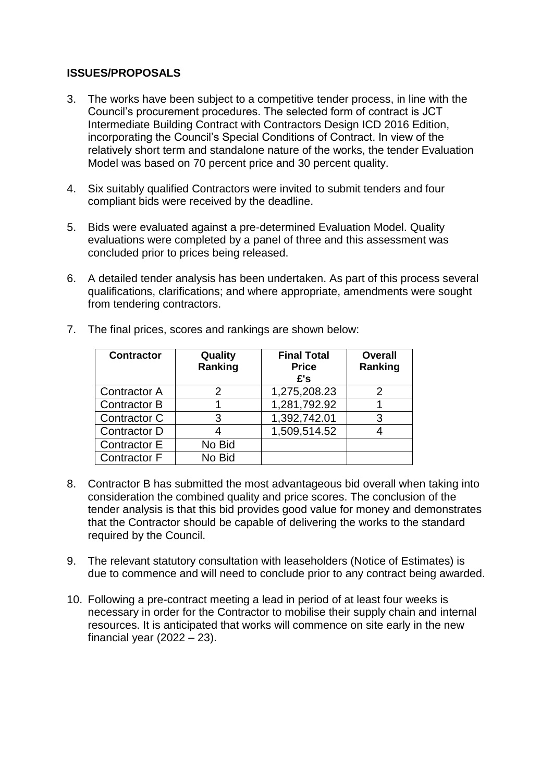# **ISSUES/PROPOSALS**

- 3. The works have been subject to a competitive tender process, in line with the Council's procurement procedures. The selected form of contract is JCT Intermediate Building Contract with Contractors Design ICD 2016 Edition, incorporating the Council's Special Conditions of Contract. In view of the relatively short term and standalone nature of the works, the tender Evaluation Model was based on 70 percent price and 30 percent quality.
- 4. Six suitably qualified Contractors were invited to submit tenders and four compliant bids were received by the deadline.
- 5. Bids were evaluated against a pre-determined Evaluation Model. Quality evaluations were completed by a panel of three and this assessment was concluded prior to prices being released.
- 6. A detailed tender analysis has been undertaken. As part of this process several qualifications, clarifications; and where appropriate, amendments were sought from tendering contractors.

| <b>Contractor</b>   | Quality<br>Ranking | <b>Final Total</b><br><b>Price</b><br>£'s | <b>Overall</b><br>Ranking |
|---------------------|--------------------|-------------------------------------------|---------------------------|
| <b>Contractor A</b> |                    | 1,275,208.23                              |                           |
| <b>Contractor B</b> |                    | 1,281,792.92                              |                           |
| Contractor C        | 3                  | 1,392,742.01                              |                           |
| <b>Contractor D</b> |                    | 1,509,514.52                              |                           |
| Contractor E        | No Bid             |                                           |                           |
| <b>Contractor F</b> | No Bid             |                                           |                           |

7. The final prices, scores and rankings are shown below:

- 8. Contractor B has submitted the most advantageous bid overall when taking into consideration the combined quality and price scores. The conclusion of the tender analysis is that this bid provides good value for money and demonstrates that the Contractor should be capable of delivering the works to the standard required by the Council.
- 9. The relevant statutory consultation with leaseholders (Notice of Estimates) is due to commence and will need to conclude prior to any contract being awarded.
- 10. Following a pre-contract meeting a lead in period of at least four weeks is necessary in order for the Contractor to mobilise their supply chain and internal resources. It is anticipated that works will commence on site early in the new financial year  $(2022 - 23)$ .